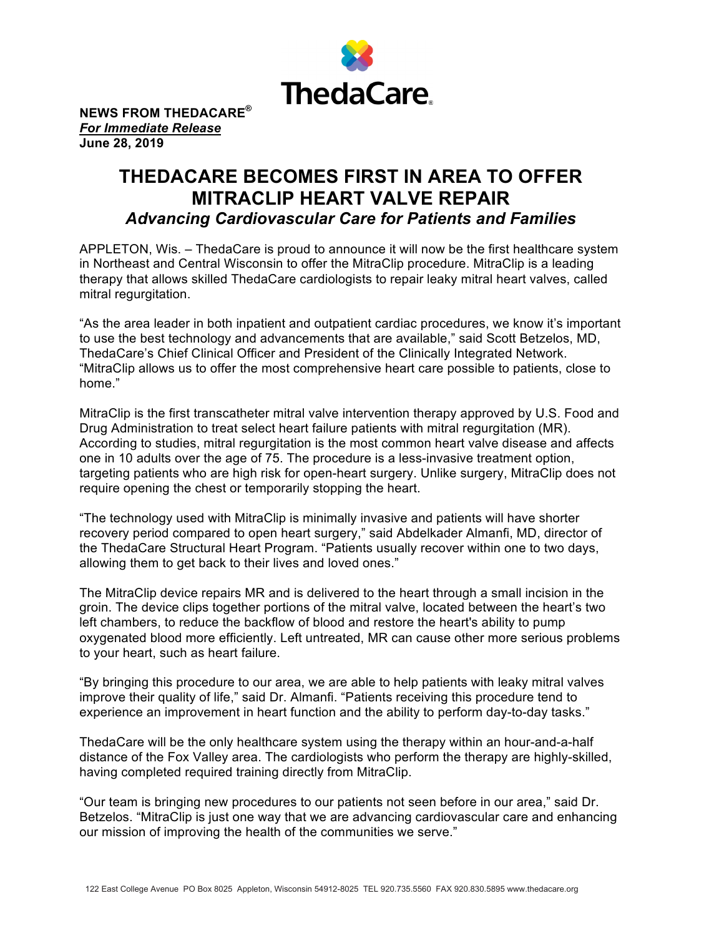

**NEWS FROM THEDACARE®** *For Immediate Release* **June 28, 2019**

## **THEDACARE BECOMES FIRST IN AREA TO OFFER MITRACLIP HEART VALVE REPAIR** *Advancing Cardiovascular Care for Patients and Families*

APPLETON, Wis. – ThedaCare is proud to announce it will now be the first healthcare system in Northeast and Central Wisconsin to offer the MitraClip procedure. MitraClip is a leading therapy that allows skilled ThedaCare cardiologists to repair leaky mitral heart valves, called mitral regurgitation.

"As the area leader in both inpatient and outpatient cardiac procedures, we know it's important to use the best technology and advancements that are available," said Scott Betzelos, MD, ThedaCare's Chief Clinical Officer and President of the Clinically Integrated Network. "MitraClip allows us to offer the most comprehensive heart care possible to patients, close to home."

MitraClip is the first transcatheter mitral valve intervention therapy approved by U.S. Food and Drug Administration to treat select heart failure patients with mitral regurgitation (MR). According to studies, mitral regurgitation is the most common heart valve disease and affects one in 10 adults over the age of 75. The procedure is a less-invasive treatment option, targeting patients who are high risk for open-heart surgery. Unlike surgery, MitraClip does not require opening the chest or temporarily stopping the heart.

"The technology used with MitraClip is minimally invasive and patients will have shorter recovery period compared to open heart surgery," said Abdelkader Almanfi, MD, director of the ThedaCare Structural Heart Program. "Patients usually recover within one to two days, allowing them to get back to their lives and loved ones."

The MitraClip device repairs MR and is delivered to the heart through a small incision in the groin. The device clips together portions of the mitral valve, located between the heart's two left chambers, to reduce the backflow of blood and restore the heart's ability to pump oxygenated blood more efficiently. Left untreated, MR can cause other more serious problems to your heart, such as heart failure.

"By bringing this procedure to our area, we are able to help patients with leaky mitral valves improve their quality of life," said Dr. Almanfi. "Patients receiving this procedure tend to experience an improvement in heart function and the ability to perform day-to-day tasks."

ThedaCare will be the only healthcare system using the therapy within an hour-and-a-half distance of the Fox Valley area. The cardiologists who perform the therapy are highly-skilled, having completed required training directly from MitraClip.

"Our team is bringing new procedures to our patients not seen before in our area," said Dr. Betzelos. "MitraClip is just one way that we are advancing cardiovascular care and enhancing our mission of improving the health of the communities we serve."